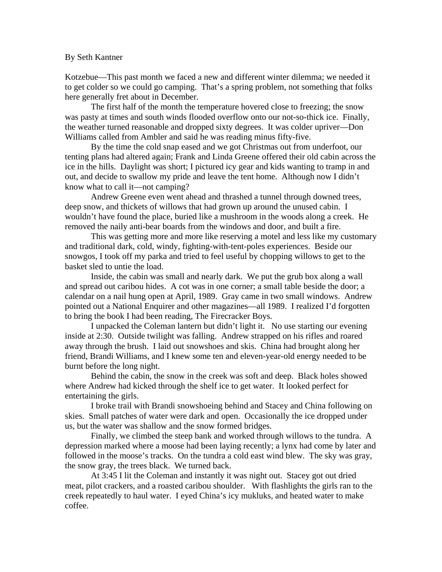## By Seth Kantner

Kotzebue—This past month we faced a new and different winter dilemma; we needed it to get colder so we could go camping. That's a spring problem, not something that folks here generally fret about in December.

The first half of the month the temperature hovered close to freezing; the snow was pasty at times and south winds flooded overflow onto our not-so-thick ice. Finally, the weather turned reasonable and dropped sixty degrees. It was colder upriver—Don Williams called from Ambler and said he was reading minus fifty-five.

By the time the cold snap eased and we got Christmas out from underfoot, our tenting plans had altered again; Frank and Linda Greene offered their old cabin across the ice in the hills. Daylight was short; I pictured icy gear and kids wanting to tramp in and out, and decide to swallow my pride and leave the tent home. Although now I didn't know what to call it—not camping?

Andrew Greene even went ahead and thrashed a tunnel through downed trees, deep snow, and thickets of willows that had grown up around the unused cabin. I wouldn't have found the place, buried like a mushroom in the woods along a creek. He removed the naily anti-bear boards from the windows and door, and built a fire.

This was getting more and more like reserving a motel and less like my customary and traditional dark, cold, windy, fighting-with-tent-poles experiences. Beside our snowgos, I took off my parka and tried to feel useful by chopping willows to get to the basket sled to untie the load.

Inside, the cabin was small and nearly dark. We put the grub box along a wall and spread out caribou hides. A cot was in one corner; a small table beside the door; a calendar on a nail hung open at April, 1989. Gray came in two small windows. Andrew pointed out a National Enquirer and other magazines—all 1989. I realized I'd forgotten to bring the book I had been reading, The Firecracker Boys.

I unpacked the Coleman lantern but didn't light it. No use starting our evening inside at 2:30. Outside twilight was falling. Andrew strapped on his rifles and roared away through the brush. I laid out snowshoes and skis. China had brought along her friend, Brandi Williams, and I knew some ten and eleven-year-old energy needed to be burnt before the long night.

Behind the cabin, the snow in the creek was soft and deep. Black holes showed where Andrew had kicked through the shelf ice to get water. It looked perfect for entertaining the girls.

I broke trail with Brandi snowshoeing behind and Stacey and China following on skies. Small patches of water were dark and open. Occasionally the ice dropped under us, but the water was shallow and the snow formed bridges.

Finally, we climbed the steep bank and worked through willows to the tundra. A depression marked where a moose had been laying recently; a lynx had come by later and followed in the moose's tracks. On the tundra a cold east wind blew. The sky was gray, the snow gray, the trees black. We turned back.

At 3:45 I lit the Coleman and instantly it was night out. Stacey got out dried meat, pilot crackers, and a roasted caribou shoulder. With flashlights the girls ran to the creek repeatedly to haul water. I eyed China's icy mukluks, and heated water to make coffee.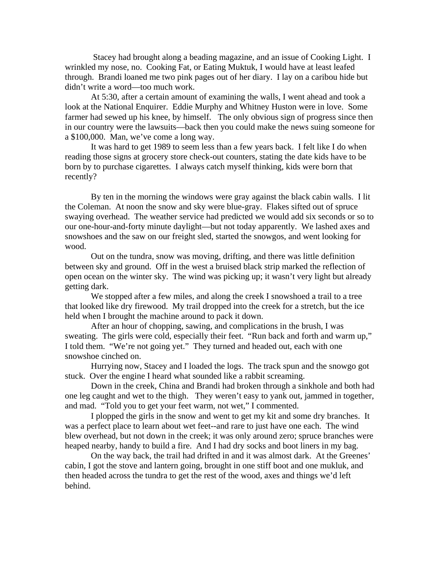Stacey had brought along a beading magazine, and an issue of Cooking Light. I wrinkled my nose, no. Cooking Fat, or Eating Muktuk, I would have at least leafed through. Brandi loaned me two pink pages out of her diary. I lay on a caribou hide but didn't write a word—too much work.

At 5:30, after a certain amount of examining the walls, I went ahead and took a look at the National Enquirer. Eddie Murphy and Whitney Huston were in love. Some farmer had sewed up his knee, by himself. The only obvious sign of progress since then in our country were the lawsuits—back then you could make the news suing someone for a \$100,000. Man, we've come a long way.

It was hard to get 1989 to seem less than a few years back. I felt like I do when reading those signs at grocery store check-out counters, stating the date kids have to be born by to purchase cigarettes. I always catch myself thinking, kids were born that recently?

 By ten in the morning the windows were gray against the black cabin walls. I lit the Coleman. At noon the snow and sky were blue-gray. Flakes sifted out of spruce swaying overhead. The weather service had predicted we would add six seconds or so to our one-hour-and-forty minute daylight—but not today apparently. We lashed axes and snowshoes and the saw on our freight sled, started the snowgos, and went looking for wood.

Out on the tundra, snow was moving, drifting, and there was little definition between sky and ground. Off in the west a bruised black strip marked the reflection of open ocean on the winter sky. The wind was picking up; it wasn't very light but already getting dark.

We stopped after a few miles, and along the creek I snowshoed a trail to a tree that looked like dry firewood. My trail dropped into the creek for a stretch, but the ice held when I brought the machine around to pack it down.

After an hour of chopping, sawing, and complications in the brush, I was sweating. The girls were cold, especially their feet. "Run back and forth and warm up," I told them. "We're not going yet." They turned and headed out, each with one snowshoe cinched on.

Hurrying now, Stacey and I loaded the logs. The track spun and the snowgo got stuck. Over the engine I heard what sounded like a rabbit screaming.

Down in the creek, China and Brandi had broken through a sinkhole and both had one leg caught and wet to the thigh. They weren't easy to yank out, jammed in together, and mad. "Told you to get your feet warm, not wet," I commented.

I plopped the girls in the snow and went to get my kit and some dry branches. It was a perfect place to learn about wet feet--and rare to just have one each. The wind blew overhead, but not down in the creek; it was only around zero; spruce branches were heaped nearby, handy to build a fire. And I had dry socks and boot liners in my bag.

On the way back, the trail had drifted in and it was almost dark. At the Greenes' cabin, I got the stove and lantern going, brought in one stiff boot and one mukluk, and then headed across the tundra to get the rest of the wood, axes and things we'd left behind.